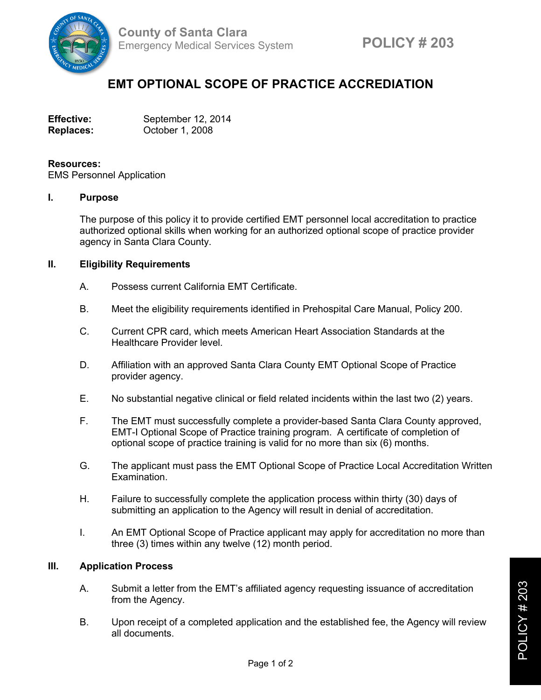

# **EMT OPTIONAL SCOPE OF PRACTICE ACCREDIATION**

| <b>Effective:</b> | September 12, 2014 |
|-------------------|--------------------|
| <b>Replaces:</b>  | October 1, 2008    |

### **Resources:**

EMS Personnel Application

### **I. Purpose**

The purpose of this policy it to provide certified EMT personnel local accreditation to practice authorized optional skills when working for an authorized optional scope of practice provider agency in Santa Clara County.

## **II. Eligibility Requirements**

- A. Possess current California EMT Certificate.
- B. Meet the eligibility requirements identified in Prehospital Care Manual, Policy 200.
- C. Current CPR card, which meets American Heart Association Standards at the Healthcare Provider level.
- D. Affiliation with an approved Santa Clara County EMT Optional Scope of Practice provider agency.
- E. No substantial negative clinical or field related incidents within the last two (2) years.
- F. The EMT must successfully complete a provider-based Santa Clara County approved, EMT-I Optional Scope of Practice training program. A certificate of completion of optional scope of practice training is valid for no more than six (6) months.
- G. The applicant must pass the EMT Optional Scope of Practice Local Accreditation Written Examination.
- H. Failure to successfully complete the application process within thirty (30) days of submitting an application to the Agency will result in denial of accreditation.
- I. An EMT Optional Scope of Practice applicant may apply for accreditation no more than three (3) times within any twelve (12) month period.

# **III. Application Process**

- A. Submit a letter from the EMT's affiliated agency requesting issuance of accreditation from the Agency.
- B. Upon receipt of a completed application and the established fee, the Agency will review all documents.